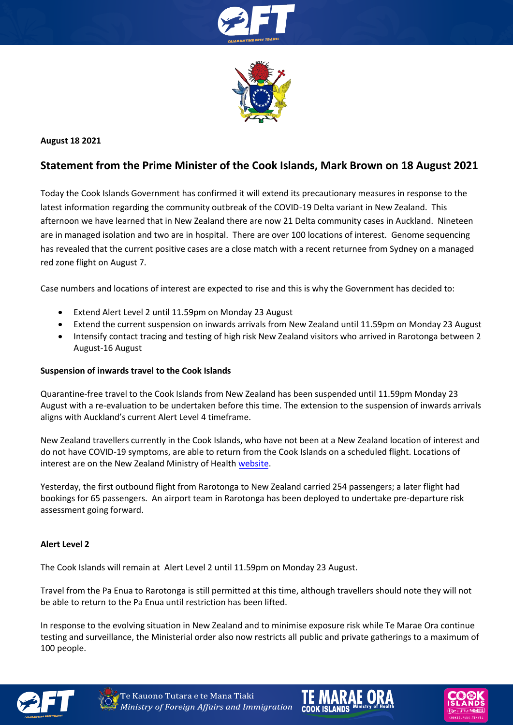



# **August 18 2021**

# **Statement from the Prime Minister of the Cook Islands, Mark Brown on 18 August 2021**

Today the Cook Islands Government has confirmed it will extend its precautionary measures in response to the latest information regarding the community outbreak of the COVID-19 Delta variant in New Zealand. This afternoon we have learned that in New Zealand there are now 21 Delta community cases in Auckland. Nineteen are in managed isolation and two are in hospital. There are over 100 locations of interest. Genome sequencing has revealed that the current positive cases are a close match with a recent returnee from Sydney on a managed red zone flight on August 7.

Case numbers and locations of interest are expected to rise and this is why the Government has decided to:

- Extend Alert Level 2 until 11.59pm on Monday 23 August
- Extend the current suspension on inwards arrivals from New Zealand until 11.59pm on Monday 23 August
- Intensify contact tracing and testing of high risk New Zealand visitors who arrived in Rarotonga between 2 August-16 August

#### **Suspension of inwards travel to the Cook Islands**

Quarantine-free travel to the Cook Islands from New Zealand has been suspended until 11.59pm Monday 23 August with a re-evaluation to be undertaken before this time. The extension to the suspension of inwards arrivals aligns with Auckland's current Alert Level 4 timeframe.

New Zealand travellers currently in the Cook Islands, who have not been at a New Zealand location of interest and do not have COVID-19 symptoms, are able to return from the Cook Islands on a scheduled flight. Locations of interest are on the New Zealand Ministry of Healt[h website.](https://www.health.govt.nz/our-work/diseases-and-conditions/covid-19-novel-coronavirus/covid-19-health-advice-public/contact-tracing-covid-19/covid-19-contact-tracing-locations-interest) 

Yesterday, the first outbound flight from Rarotonga to New Zealand carried 254 passengers; a later flight had bookings for 65 passengers. An airport team in Rarotonga has been deployed to undertake pre-departure risk assessment going forward.

# **Alert Level 2**

The Cook Islands will remain at Alert Level 2 until 11.59pm on Monday 23 August.

Travel from the Pa Enua to Rarotonga is still permitted at this time, although travellers should note they will not be able to return to the Pa Enua until restriction has been lifted.

In response to the evolving situation in New Zealand and to minimise exposure risk while Te Marae Ora continue testing and surveillance, the Ministerial order also now restricts all public and private gatherings to a maximum of 100 people.